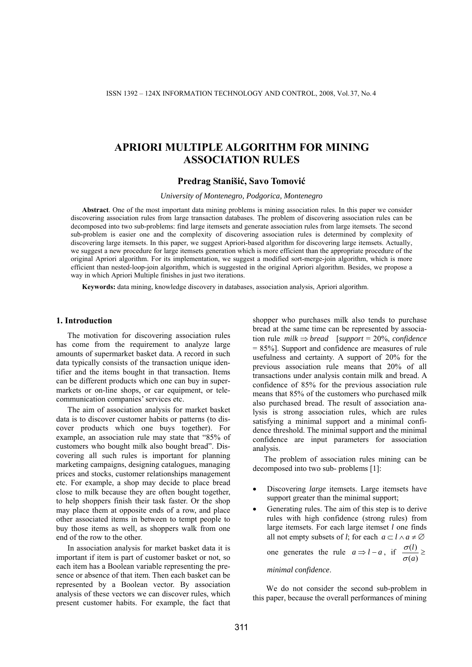# **APRIORI MULTIPLE ALGORITHM FOR MINING ASSOCIATION RULES**

# **Predrag Stanišić, Savo Tomović**

*University of Montenegro, Podgorica, Montenegro* 

**Abstract**. One of the most important data mining problems is mining association rules. In this paper we consider discovering association rules from large transaction databases. The problem of discovering association rules can be decomposed into two sub-problems: find large itemsets and generate association rules from large itemsets. The second sub-problem is easier one and the complexity of discovering association rules is determined by complexity of discovering large itemsets. In this paper, we suggest Apriori-based algorithm for discovering large itemsets. Actually, we suggest a new procedure for large itemsets generation which is more efficient than the appropriate procedure of the original Apriori algorithm. For its implementation, we suggest a modified sort-merge-join algorithm, which is more efficient than nested-loop-join algorithm, which is suggested in the original Apriori algorithm. Besides, we propose a way in which Apriori Multiple finishes in just two iterations.

**Keywords:** data mining, knowledge discovery in databases, association analysis, Apriori algorithm.

### **1. Introduction**

The motivation for discovering association rules has come from the requirement to analyze large amounts of supermarket basket data. A record in such data typically consists of the transaction unique identifier and the items bought in that transaction. Items can be different products which one can buy in supermarkets or on-line shops, or car equipment, or telecommunication companies' services etc.

The aim of association analysis for market basket data is to discover customer habits or patterns (to discover products which one buys together). For example, an association rule may state that "85% of customers who bought milk also bought bread". Discovering all such rules is important for planning marketing campaigns, designing catalogues, managing prices and stocks, customer relationships management etc. For example, a shop may decide to place bread close to milk because they are often bought together, to help shoppers finish their task faster. Or the shop may place them at opposite ends of a row, and place other associated items in between to tempt people to buy those items as well, as shoppers walk from one end of the row to the other.

In association analysis for market basket data it is important if item is part of customer basket or not, so each item has a Boolean variable representing the presence or absence of that item. Then each basket can be represented by a Boolean vector. By association analysis of these vectors we can discover rules, which present customer habits. For example, the fact that

shopper who purchases milk also tends to purchase bread at the same time can be represented by association rule *milk* ⇒ *bread* [*support* = 20%, *confidence*  = 85%]. Support and confidence are measures of rule usefulness and certainty. A support of 20% for the previous association rule means that 20% of all transactions under analysis contain milk and bread. A confidence of 85% for the previous association rule means that 85% of the customers who purchased milk also purchased bread. The result of association analysis is strong association rules, which are rules satisfying a minimal support and a minimal confidence threshold. The minimal support and the minimal confidence are input parameters for association analysis.

The problem of association rules mining can be decomposed into two sub- problems [1]:

- Discovering *large* itemsets. Large itemsets have support greater than the minimal support;
- Generating rules. The aim of this step is to derive rules with high confidence (strong rules) from large itemsets. For each large itemset *l* one finds all not empty subsets of *l*; for each  $a \subset l \land a \neq \emptyset$

one generates the rule 
$$
a \Rightarrow l - a
$$
, if  $\frac{\sigma(l)}{\sigma(a)} \ge$ 

*minimal confidence*.

We do not consider the second sub-problem in this paper, because the overall performances of mining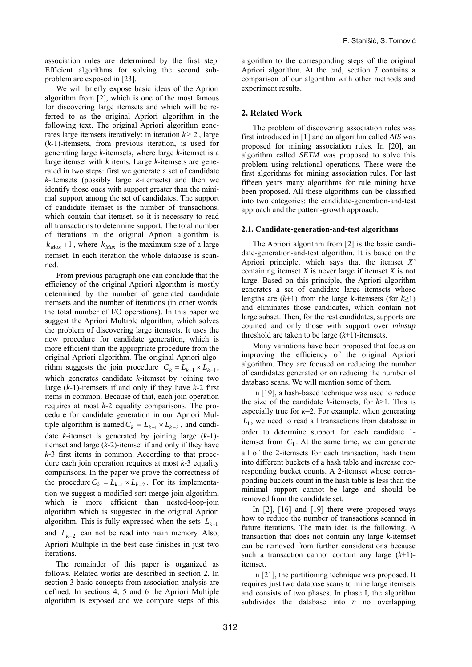association rules are determined by the first step. Efficient algorithms for solving the second subproblem are exposed in [23].

We will briefly expose basic ideas of the Apriori algorithm from [2], which is one of the most famous for discovering large itemsets and which will be referred to as the original Apriori algorithm in the following text. The original Apriori algorithm generates large itemsets iteratively: in iteration  $k \geq 2$ , large (*k*-1)-itemsets, from previous iteration, is used for generating large *k*-itemsets, where large *k*-itemset is a large itemset with *k* items. Large *k*-itemsets are generated in two steps: first we generate a set of candidate *k*-itemsets (possibly large *k*-itemsets) and then we identify those ones with support greater than the minimal support among the set of candidates. The support of candidate itemset is the number of transactions, which contain that itemset, so it is necessary to read all transactions to determine support. The total number of iterations in the original Apriori algorithm is  $k_{\text{Max}} + 1$ , where  $k_{\text{Max}}$  is the maximum size of a large itemset. In each iteration the whole database is scanned.

From previous paragraph one can conclude that the efficiency of the original Apriori algorithm is mostly determined by the number of generated candidate itemsets and the number of iterations (in other words, the total number of I/O operations). In this paper we suggest the Apriori Multiple algorithm, which solves the problem of discovering large itemsets. It uses the new procedure for candidate generation, which is more efficient than the appropriate procedure from the original Apriori algorithm. The original Apriori algorithm suggests the join procedure  $C_k = L_{k-1} \times L_{k-1}$ , which generates candidate *k*-itemset by joining two large (*k*-1)-itemsets if and only if they have *k*-2 first items in common. Because of that, each join operation requires at most *k*-2 equality comparisons. The procedure for candidate generation in our Apriori Multiple algorithm is named  $C_k = L_{k-1} \times L_{k-2}$ , and candidate *k*-itemset is generated by joining large (*k*-1) itemset and large (*k*-2)-itemset if and only if they have *k*-3 first items in common. According to that procedure each join operation requires at most *k*-3 equality comparisons. In the paper we prove the correctness of the procedure  $C_k = L_{k-1} \times L_{k-2}$ . For its implementation we suggest a modified sort-merge-join algorithm, which is more efficient than nested-loop-join algorithm which is suggested in the original Apriori algorithm. This is fully expressed when the sets  $L_{k-1}$ and  $L_{k-2}$  can not be read into main memory. Also, Apriori Multiple in the best case finishes in just two iterations.

The remainder of this paper is organized as follows. Related works are described in section 2. In section 3 basic concepts from association analysis are defined. In sections 4, 5 and 6 the Apriori Multiple algorithm is exposed and we compare steps of this

algorithm to the corresponding steps of the original Apriori algorithm. At the end, section 7 contains a comparison of our algorithm with other methods and experiment results.

# **2. Related Work**

The problem of discovering association rules was first introduced in [1] and an algorithm called *AIS* was proposed for mining association rules. In [20], an algorithm called *SETM* was proposed to solve this problem using relational operations. These were the first algorithms for mining association rules. For last fifteen years many algorithms for rule mining have been proposed. All these algorithms can be classified into two categories: the candidate-generation-and-test approach and the pattern-growth approach.

#### **2.1. Candidate-generation-and-test algorithms**

The Apriori algorithm from [2] is the basic candidate-generation-and-test algorithm. It is based on the Apriori principle, which says that the itemset *X'* containing itemset *X* is never large if itemset *X* is not large. Based on this principle, the Apriori algorithm generates a set of candidate large itemsets whose lengths are  $(k+1)$  from the large k-itemsets (for  $k \ge 1$ ) and eliminates those candidates, which contain not large subset. Then, for the rest candidates, supports are counted and only those with support over *minsup* threshold are taken to be large (*k*+1)-itemsets.

Many variations have been proposed that focus on improving the efficiency of the original Apriori algorithm. They are focused on reducing the number of candidates generated or on reducing the number of database scans. We will mention some of them.

In [19], a hash-based technique was used to reduce the size of the candidate *k*-itemsets, for *k*>1. This is especially true for  $k=2$ . For example, when generating  $L_1$ , we need to read all transactions from database in order to determine support for each candidate 1 itemset from  $C_1$ . At the same time, we can generate all of the 2-itemsets for each transaction, hash them into different buckets of a hash table and increase corresponding bucket counts. A 2-itemset whose corresponding buckets count in the hash table is less than the minimal support cannot be large and should be removed from the candidate set.

In [2], [16] and [19] there were proposed ways how to reduce the number of transactions scanned in future iterations. The main idea is the following. A transaction that does not contain any large *k*-itemset can be removed from further considerations because such a transaction cannot contain any large (*k*+1) itemset.

In [21], the partitioning technique was proposed. It requires just two database scans to mine large itemsets and consists of two phases. In phase I, the algorithm subdivides the database into *n* no overlapping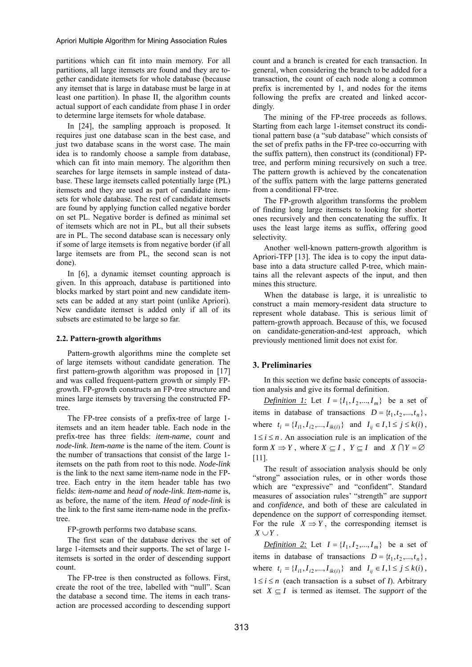partitions which can fit into main memory. For all partitions, all large itemsets are found and they are together candidate itemsets for whole database (because any itemset that is large in database must be large in at least one partition). In phase II, the algorithm counts actual support of each candidate from phase I in order to determine large itemsets for whole database.

In [24], the sampling approach is proposed. It requires just one database scan in the best case, and just two database scans in the worst case. The main idea is to randomly choose a sample from database, which can fit into main memory. The algorithm then searches for large itemsets in sample instead of database. These large itemsets called potentially large (PL) itemsets and they are used as part of candidate itemsets for whole database. The rest of candidate itemsets are found by applying function called negative border on set PL. Negative border is defined as minimal set of itemsets which are not in PL, but all their subsets are in PL. The second database scan is necessary only if some of large itemsets is from negative border (if all large itemsets are from PL, the second scan is not done).

In [6], a dynamic itemset counting approach is given. In this approach, database is partitioned into blocks marked by start point and new candidate itemsets can be added at any start point (unlike Apriori). New candidate itemset is added only if all of its subsets are estimated to be large so far.

#### **2.2. Pattern-growth algorithms**

Pattern-growth algorithms mine the complete set of large itemsets without candidate generation. The first pattern-growth algorithm was proposed in [17] and was called frequent-pattern growth or simply FPgrowth. FP-growth constructs an FP-tree structure and mines large itemsets by traversing the constructed FPtree.

The FP-tree consists of a prefix-tree of large 1 itemsets and an item header table. Each node in the prefix-tree has three fields: *item-name*, *count* and *node-link*. *Item-name* is the name of the item. *Count* is the number of transactions that consist of the large 1 itemsets on the path from root to this node. *Node-link* is the link to the next same item-name node in the FPtree. Each entry in the item header table has two fields: *item-name* and *head of node-link*. *Item-name* is, as before, the name of the item. *Head of node-link* is the link to the first same item-name node in the prefixtree.

FP-growth performs two database scans.

The first scan of the database derives the set of large 1-itemsets and their supports. The set of large 1 itemsets is sorted in the order of descending support count.

The FP-tree is then constructed as follows. First, create the root of the tree, labelled with "null". Scan the database a second time. The items in each transaction are processed according to descending support count and a branch is created for each transaction. In general, when considering the branch to be added for a transaction, the count of each node along a common prefix is incremented by 1, and nodes for the items following the prefix are created and linked accordingly.

The mining of the FP-tree proceeds as follows. Starting from each large 1-itemset construct its conditional pattern base (a "sub database" which consists of the set of prefix paths in the FP-tree co-occurring with the suffix pattern), then construct its (conditional) FPtree, and perform mining recursively on such a tree. The pattern growth is achieved by the concatenation of the suffix pattern with the large patterns generated from a conditional FP-tree.

The FP-growth algorithm transforms the problem of finding long large itemsets to looking for shorter ones recursively and then concatenating the suffix. It uses the least large items as suffix, offering good selectivity.

Another well-known pattern-growth algorithm is Apriori-TFP [13]. The idea is to copy the input database into a data structure called P-tree, which maintains all the relevant aspects of the input, and then mines this structure.

When the database is large, it is unrealistic to construct a main memory-resident data structure to represent whole database. This is serious limit of pattern-growth approach. Because of this, we focused on candidate-generation-and-test approach, which previously mentioned limit does not exist for.

# **3. Preliminaries**

In this section we define basic concepts of association analysis and give its formal definition.

*Definition 1:* Let  $I = \{I_1, I_2, ..., I_m\}$  be a set of items in database of transactions  $D = \{t_1, t_2, ..., t_n\}$ , where  $t_i = \{I_{i1}, I_{i2},..., I_{ik(i)}\}$  and  $I_{ij} \in I, 1 \le j \le k(i)$ ,  $1 \le i \le n$ . An association rule is an implication of the form  $X \implies Y$ , where  $X \subseteq I$ ,  $Y \subseteq I$  and  $X \cap Y = \emptyset$ [11].

The result of association analysis should be only "strong" association rules, or in other words those which are "expressive" and "confident". Standard measures of association rules' "strength" are *support* and *confidence*, and both of these are calculated in dependence on the *support* of corresponding itemset. For the rule  $X \Rightarrow Y$ , the corresponding itemset is  $X \cup Y$ .

*Definition 2:* Let  $I = \{I_1, I_2, ..., I_m\}$  be a set of items in database of transactions  $D = \{t_1, t_2, ..., t_n\}$ , where  $t_i = \{I_{i1}, I_{i2},..., I_{ik(i)}\}$  and  $I_{ij} \in I, 1 \le j \le k(i)$ ,  $1 \le i \le n$  (each transaction is a subset of *I*). Arbitrary set  $X \subseteq I$  is termed as itemset. The *support* of the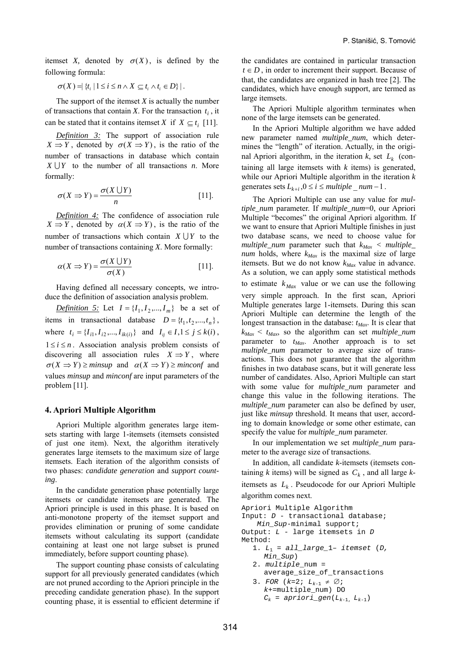itemset *X*, denoted by  $\sigma(X)$ , is defined by the following formula:

 $\sigma(X) = \{ t_i | 1 \le i \le n \wedge X \subseteq t_i \wedge t_i \in D \}$ .

The support of the itemset *X* is actually the number of transactions that contain *X*. For the transaction  $t_i$ , it can be stated that it contains itemset *X* if  $X \subseteq t_i$  [11].

*Definition 3:* The support of association rule  $X \Rightarrow Y$ , denoted by  $\sigma(X \Rightarrow Y)$ , is the ratio of the number of transactions in database which contain *X* ∪*Y* to the number of all transactions *n*. More formally:

$$
\sigma(X \Rightarrow Y) = \frac{\sigma(X \cup Y)}{n} \tag{11}.
$$

*Definition 4:* The confidence of association rule  $X \Rightarrow Y$ , denoted by  $\alpha(X \Rightarrow Y)$ , is the ratio of the number of transactions which contain  $X \cup Y$  to the number of transactions containing *X*. More formally:

$$
\alpha(X \Rightarrow Y) = \frac{\sigma(X \cup Y)}{\sigma(X)} \tag{11}.
$$

Having defined all necessary concepts, we introduce the definition of association analysis problem.

*Definition 5:* Let  $I = \{I_1, I_2, ..., I_m\}$  be a set of items in transactional database  $D = \{t_1, t_2, ..., t_n\}$ , where  $t_i = \{I_{i1}, I_{i2},..., I_{ik(i)}\}$  and  $I_{ij} \in I, 1 \le j \le k(i)$ ,  $1 \le i \le n$ . Association analysis problem consists of discovering all association rules  $X \Rightarrow Y$ , where  $\sigma(X \implies Y) \geq minsup$  and  $\alpha(X \implies Y) \geq minconf$  and values *minsup* and *minconf* are input parameters of the problem [11].

### **4. Apriori Multiple Algorithm**

Apriori Multiple algorithm generates large itemsets starting with large 1-itemsets (itemsets consisted of just one item). Next, the algorithm iteratively generates large itemsets to the maximum size of large itemsets. Each iteration of the algorithm consists of two phases: *candidate generation* and *support counting*.

In the candidate generation phase potentially large itemsets or candidate itemsets are generated. The Apriori principle is used in this phase. It is based on anti-monotone property of the itemset support and provides elimination or pruning of some candidate itemsets without calculating its support (candidate containing at least one not large subset is pruned immediately, before support counting phase).

The support counting phase consists of calculating support for all previously generated candidates (which are not pruned according to the Apriori principle in the preceding candidate generation phase). In the support counting phase, it is essential to efficient determine if

the candidates are contained in particular transaction  $t \in D$ , in order to increment their support. Because of that, the candidates are organized in hash tree [2]. The candidates, which have enough support, are termed as large itemsets.

The Apriori Multiple algorithm terminates when none of the large itemsets can be generated.

In the Apriori Multiple algorithm we have added new parameter named *multiple\_num*, which determines the "length" of iteration. Actually, in the original Apriori algorithm, in the iteration  $k$ , set  $L_k$  (containing all large itemsets with *k* items) is generated, while our Apriori Multiple algorithm in the iteration *k* generates sets  $L_{k+i}$ ,  $0 \le i \le multiple$   $num-1$ .

The Apriori Multiple can use any value for *multiple\_num* parameter. If *multiple\_num*=0, our Apriori Multiple "becomes" the original Apriori algorithm. If we want to ensure that Apriori Multiple finishes in just two database scans, we need to choose value for  $multiple\_num$  parameter such that  $k_{Max}$  <  $multiple\_$  $num$  holds, where  $k_{Max}$  is the maximal size of large itemsets. But we do not know  $k_{Max}$  value in advance. As a solution, we can apply some statistical methods to estimate  $k_{Max}$  value or we can use the following very simple approach. In the first scan, Apriori Multiple generates large 1-itemsets. During this scan Apriori Multiple can determine the length of the longest transaction in the database:  $t_{Max}$ . It is clear that  $k_{Max}$  <  $t_{Max}$ , so the algorithm can set *multiple\_num* parameter to  $t_{Max}$ . Another approach is to set *multiple\_num* parameter to average size of transactions. This does not guarantee that the algorithm finishes in two database scans, but it will generate less number of candidates. Also, Apriori Multiple can start with some value for *multiple num* parameter and change this value in the following iterations. The *multiple num* parameter can also be defined by user, just like *minsup* threshold. It means that user, according to domain knowledge or some other estimate, can specify the value for *multiple\_num* parameter.

In our implementation we set *multiple\_num* parameter to the average size of transactions.

In addition, all candidate *k*-itemsets (itemsets containing *k* items) will be signed as  $C_k$ , and all large *k*itemsets as  $L_k$ . Pseudocode for our Apriori Multiple algorithm comes next.

```
Apriori Multiple Algorithm 
Input: D - transactional database; 
    Min_Sup-minimal support; 
Output: L - large itemsets in D
Method: 
   1. L1 = all_large_1– itemset (D, 
     Min_Sup) 
   2. multiple_num = 
      average_size_of_transactions 
   3. FOR (k=2; L_{k-1} \neq \emptyset;k+=multiple_num) DO 
     C_k = apriori_gen(L_{k-1}, L_{k-1})
```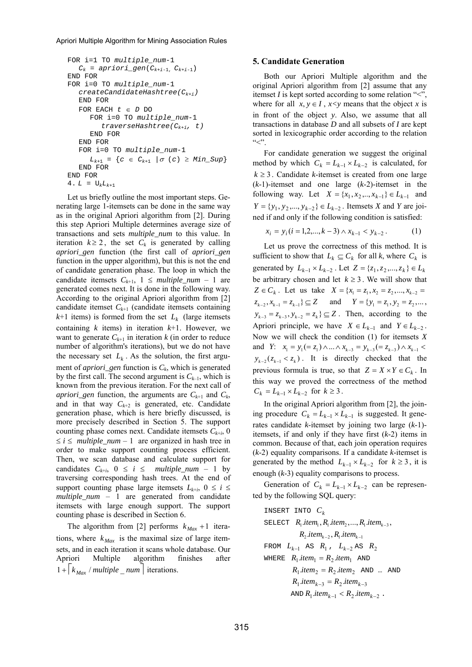#### Apriori Multiple Algorithm for Mining Association Rules

```
FOR i=1 TO multiple_num-1 
   C_k = apriori_gen(C_{k+i-1}, C_{k+i-1})
 END FOR 
 FOR i=0 TO multiple_num-1 
    createCandidateHashtree(Ck+i) 
    END FOR 
    FOR EACH t ∈ D DO 
       FOR i=0 TO multiple_num-1 
           traverseHashtree(Ck+i, t) 
       END FOR 
    END FOR 
    FOR i=0 TO multiple_num-1 
      L_{k+1} = \{c \in C_{k+1} \mid \sigma (c) \geq Min\_Sup\} END FOR
END FOR 
4. L = U_k L_{k+1}
```
Let us briefly outline the most important steps. Generating large 1-itemsets can be done in the same way as in the original Apriori algorithm from [2]. During this step Apriori Multiple determines average size of transactions and sets *multiple\_num* to this value. In iteration  $k \ge 2$ , the set  $C_k$  is generated by calling *apriori\_gen* function (the first call of *apriori\_gen* function in the upper algorithm), but this is not the end of candidate generation phase. The loop in which the candidate itemsets  $C_{k+1}$ ,  $1 \leq multiple\_num - 1$  are generated comes next. It is done in the following way. According to the original Apriori algorithm from [2] candidate itemset  $C_{k+1}$  (candidate itemsets containing  $k+1$  items) is formed from the set  $L_k$  (large itemsets containing *k* items) in iteration *k*+1. However, we want to generate  $C_{k+1}$  in iteration  $k$  (in order to reduce number of algorithm's iterations), but we do not have the necessary set  $L_k$ . As the solution, the first argument of *apriori\_gen* function is  $C_k$ , which is generated by the first call. The second argument is  $C_{k-1}$ , which is known from the previous iteration. For the next call of *apriori\_gen* function, the arguments are  $C_{k+1}$  and  $C_k$ , and in that way  $C_{k+2}$  is generated, etc. Candidate generation phase, which is here briefly discussed, is more precisely described in Section 5. The support counting phase comes next. Candidate itemsets  $C_{k+i}$ , 0  $\leq i \leq \text{multiple\_num} - 1$  are organized in hash tree in order to make support counting process efficient. Then, we scan database and calculate support for candidates  $C_{k+i}$ ,  $0 \le i \le multiple\_num - 1$  by traversing corresponding hash trees. At the end of support counting phase large itemsets  $L_{k+i}$ ,  $0 \le i \le$ *multiple\_num* – 1 are generated from candidate itemsets with large enough support. The support counting phase is described in Section 6.

The algorithm from [2] performs  $k_{Max} + 1$  iterations, where  $k_{Max}$  is the maximal size of large itemsets, and in each iteration it scans whole database. Our Apriori Multiple algorithm finishes after  $1 + \lceil k_{\text{Max}} / \text{multiple\_num} \rceil$  iterations.

### **5. Candidate Generation**

Both our Apriori Multiple algorithm and the original Apriori algorithm from [2] assume that any itemset *I* is kept sorted according to some relation "<", where for all  $x, y \in I$ ,  $x \leq y$  means that the object *x* is in front of the object *y*. Also, we assume that all transactions in database *D* and all subsets of *I* are kept sorted in lexicographic order according to the relation  $C^{\prime}$ 

For candidate generation we suggest the original method by which  $C_k = L_{k-1} \times L_{k-2}$  is calculated, for  $k \geq 3$ . Candidate *k*-itemset is created from one large (*k*-1)-itemset and one large (*k*-2)-itemset in the following way. Let  $X = \{x_1, x_2, ..., x_{k-1}\} \in L_{k-1}$  and  $Y = \{y_1, y_2, ..., y_{k-2}\} \in L_{k-2}$ . Itemsets *X* and *Y* are joined if and only if the following condition is satisfied:

$$
x_i = y_i (i = 1, 2, \dots, k - 3) \land x_{k-1} < y_{k-2} \tag{1}
$$

Let us prove the correctness of this method. It is sufficient to show that  $L_k \subseteq C_k$  for all *k*, where  $C_k$  is generated by  $L_{k-1} \times L_{k-2}$ . Let  $Z = \{z_1, z_2, ..., z_k\} \in L_k$ be arbitrary chosen and let  $k \geq 3$ . We will show that *Z* ∈ *C<sub>k</sub>*. Let us take  $X = \{x_1 = z_1, x_2 = z_2, ..., x_{k-2} =$  $z_{k-2}, x_{k-1} = z_{k-1} \subseteq Z$  and  $Y = \{y_1 = z_1, y_2 = z_2, \dots, y_k\}$  $y_{k-3} = z_{k-3}, y_{k-2} = z_k$   $\subseteq$  Z. Then, according to the Apriori principle, we have  $X \in L_{k-1}$  and  $Y \in L_{k-2}$ . Now we will check the condition (1) for itemsets *X* and *Y*:  $x_1 = y_1 (= z_1) \land ... \land x_{k-3} = y_{k-3} (= z_{k-3}) \land x_{k-1}$  $y_{k-2}$ ( $z_{k-1}$  <  $z_k$ ). It is directly checked that the previous formula is true, so that  $Z = X \times Y \in C_k$ . In this way we proved the correctness of the method  $C_k = L_{k-1} \times L_{k-2}$  for  $k \ge 3$ .

In the original Apriori algorithm from [2], the joining procedure  $C_k = L_{k-1} \times L_{k-1}$  is suggested. It generates candidate *k*-itemset by joining two large (*k*-1) itemsets, if and only if they have first (*k*-2) items in common. Because of that, each join operation requires (*k*-2) equality comparisons. If a candidate *k*-itemset is generated by the method  $L_{k-1} \times L_{k-2}$  for  $k \geq 3$ , it is enough (*k*-3) equality comparisons to process.

Generation of  $C_k = L_{k-1} \times L_{k-2}$  can be represented by the following SQL query:

$$
\begin{aligned}\n\text{INSERT } & \text{INTO } C_k \\
\text{SELECT } R_1 \text{.item}_1, R_1 \text{.item}_2, \dots, R_1 \text{.item}_{k-3}, \\
& R_2 \text{.item}_{k-2}, R_1 \text{.item}_{k-1} \\
\text{FROM } L_{k-1} \text{ AS } R_1, L_{k-2} \text{ AS } R_2 \\
\text{WHERE } R_1 \text{.item}_1 = R_2 \text{.item}_1 \text{ AND} \\
& R_1 \text{.item}_2 = R_2 \text{.item}_2 \text{ AND } \dots \text{ AND} \\
& R_1 \text{.item}_{k-3} = R_2 \text{.item}_{k-3} \\
& \text{AND } R_1 \text{.item}_{k-1} < R_2 \text{.item}_{k-2}\n\end{aligned}
$$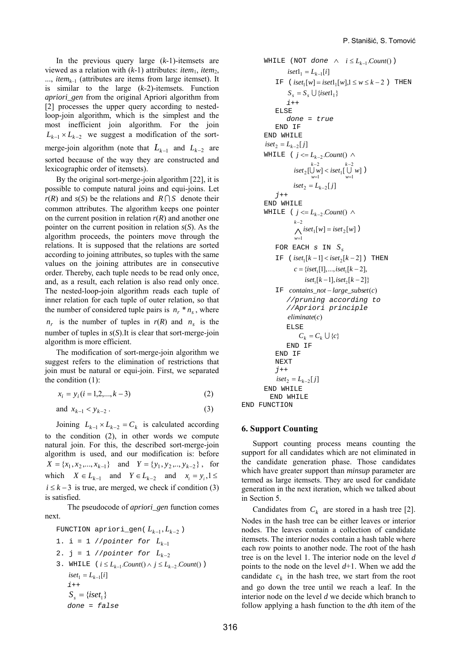In the previous query large (*k*-1)-itemsets are viewed as a relation with  $(k-1)$  attributes: *item*<sub>1</sub>, *item*<sub>2</sub>, ..., *item<sub>k-1</sub>* (attributes are items from large itemset). It is similar to the large (*k*-2)-itemsets. Function *apriori\_gen* from the original Apriori algorithm from [2] processes the upper query according to nestedloop-join algorithm, which is the simplest and the most inefficient join algorithm. For the join  $L_{k-1} \times L_{k-2}$  we suggest a modification of the sortmerge-join algorithm (note that  $L_{k-1}$  and  $L_{k-2}$  are sorted because of the way they are constructed and lexicographic order of itemsets).

By the original sort-merge-join algorithm [22], it is possible to compute natural joins and equi-joins. Let *r*(*R*) and *s*(*S*) be the relations and *R* ∩ *S* denote their common attributes. The algorithm keeps one pointer on the current position in relation *r*(*R*) and another one pointer on the current position in relation *s*(*S*). As the algorithm proceeds, the pointers move through the relations. It is supposed that the relations are sorted according to joining attributes, so tuples with the same values on the joining attributes are in consecutive order. Thereby, each tuple needs to be read only once, and, as a result, each relation is also read only once. The nested-loop-join algorithm reads each tuple of inner relation for each tuple of outer relation, so that the number of considered tuple pairs is  $n_r * n_s$ , where  $n_r$  is the number of tuples in  $r(R)$  and  $n_s$  is the number of tuples in *s*(*S*).It is clear that sort-merge-join algorithm is more efficient.

The modification of sort-merge-join algorithm we suggest refers to the elimination of restrictions that join must be natural or equi-join. First, we separated the condition (1):

 $x_i = y_i (i = 1, 2, \dots, k - 3)$  *(2)* 

and 
$$
x_{k-1} < y_{k-2}
$$
. (3)

Joining  $L_{k-1} \times L_{k-2} = C_k$  is calculated according to the condition (2), in other words we compute natural join. For this, the described sort-merge-join algorithm is used, and our modification is: before  $X = \{x_1, x_2, ..., x_{k-1}\}\$ and  $Y = \{y_1, y_2, ..., y_{k-2}\}\$ , for which  $X \in L_{k-1}$  and  $Y \in L_{k-2}$  and  $x_i = y_i, 1 \leq i$  $i \leq k-3$  is true, are merged, we check if condition (3) is satisfied.

 The pseudocode of *apriori\_gen* function comes next.

FUNCTION a priori-gen(
$$
L_{k-1}, L_{k-2}
$$
)

\n1. i = 1 // pointer for  $L_{k-1}$ 

\n2. j = 1 // pointer for  $L_{k-2}$ 

\n3. WHICH:  $(i \leq L_{k-1}.Count() \land j \leq L_{k-2}.Count()$ )

\n $iset_1 = L_{k-1}[i]$ 

\n $i + t$ 

\n $S_s = \{iset_1\}$ 

\ndone = false

**WHILE** (NOT *done*  $\land$  *i*  $\leq$  *L*<sub>*k*−1</sub>. *Count*() )  $\text{iset1}_1 = L_{k-1}[i]$ IF (  $iset_1[w] = iset1_1[w], 1 \le w \le k - 2$  ) THEN  $S_s = S_s \cup \{iset1_1\}$  *i*++ ELSE *done = true*  END IF END WHILE  $\int$  *iset*<sub>2</sub> =  $L_{k-2}[j]$ WHILE (  $j \le L_{k-2}$  *Count*()  $\wedge$  $\displaystyle \; \textit{iset}_2[\bigcup_{w=1}^{k-2} \bigcup_{w=1}^{\infty} < \textit{iset}_1[\bigcup_{w=1}^{k-2} w]$ 2  $\int_{w=1}^{k-2} \left[ \bigcup_{w=1}^{k-2} w \right] \right] \le \left[ \bigcup_{w=1}^{k-2} w \right]$ *k w* − = −  $\bigcup_{w=1} w$  < iset<sub>1</sub>[ $\bigcup_{w=1} w$ ] )  $\int$  *iset*<sub>2</sub> =  $L_{k-2}[j]$  *j*++ END WHILE WHILE (  $j \le L_{k-2}$  *Count*()  $\wedge$  $k-2$ <br>  $\bigwedge$  iset<sub>1</sub>[w] = iset<sub>2</sub>[w] 1 *k*-2<br>  $\bigwedge$  *iset*<sub>1</sub>[*w*] = *iset*<sub>2</sub>[*w*  $k-2$ <br>  $\bigwedge_{w=1}$  iset<sub>1</sub>[*w*] = = ) FOR EACH  $s$  IN  $S_s$ IF  $(iset<sub>1</sub>[k-1] < iset<sub>2</sub>[k-2])$  THEN  $c = \{iset, [1], ..., iset, [k-2],$  $iset_1[k-1], iset_2[k-2]$  IF *contains\_not* − *large\_subset*(*c*) *//pruning according to //Apriori principle eliminate*(*c*) ELSE  $C_k = C_k \cup \{c\}$  END IF END IF NEXT *j*++  $\int$  *iset*<sub>2</sub> =  $L_{k-2}[j]$  END WHILE END WHILE END FUNCTION

# **6. Support Counting**

Support counting process means counting the support for all candidates which are not eliminated in the candidate generation phase. Those candidates which have greater support than *minsup* parameter are termed as large itemsets. They are used for candidate generation in the next iteration, which we talked about in Section 5.

Candidates from  $C_k$  are stored in a hash tree [2]. Nodes in the hash tree can be either leaves or interior nodes. The leaves contain a collection of candidate itemsets. The interior nodes contain a hash table where each row points to another node. The root of the hash tree is on the level 1. The interior node on the level *d* points to the node on the level *d*+1. When we add the candidate  $c_k$  in the hash tree, we start from the root and go down the tree until we reach a leaf. In the interior node on the level *d* we decide which branch to follow applying a hash function to the *d*th item of the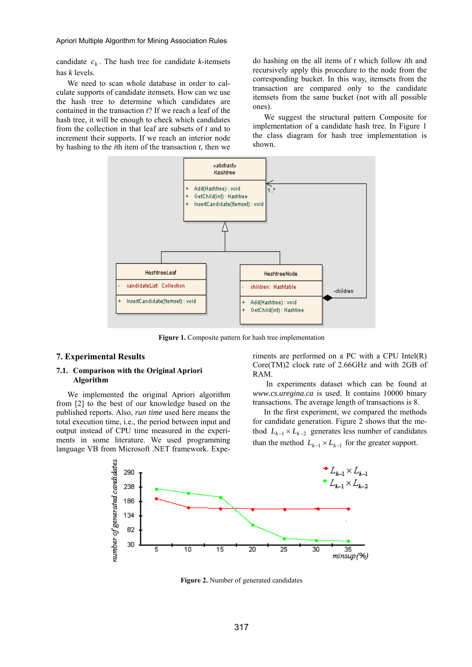candidate  $c_k$ . The hash tree for candidate *k*-itemsets has *k* levels.

We need to scan whole database in order to calculate supports of candidate itemsets. How can we use the hash tree to determine which candidates are contained in the transaction *t*? If we reach a leaf of the hash tree, it will be enough to check which candidates from the collection in that leaf are subsets of *t* and to increment their supports. If we reach an interior node by hashing to the *i*th item of the transaction *t*, then we do hashing on the all items of *t* which follow *i*th and recursively apply this procedure to the node from the corresponding bucket. In this way, itemsets from the transaction are compared only to the candidate itemsets from the same bucket (not with all possible ones).

We suggest the structural pattern Composite for implementation of a candidate hash tree. In Figure 1 the class diagram for hash tree implementation is shown.



**Figure 1.** Composite pattern for hash tree implementation

### **7. Experimental Results**

### **7.1. Comparison with the Original Apriori Algorithm**

We implemented the original Apriori algorithm from [2] to the best of our knowledge based on the published reports. Also, *run time* used here means the total execution time, i.e., the period between input and output instead of CPU time measured in the experiments in some literature. We used programming language VB from Microsoft .NET framework. Experiments are performed on a PC with a CPU Intel(R) Core(TM)2 clock rate of 2.66GHz and with 2GB of RAM.

In experiments dataset which can be found at *www.cs.uregina.ca* is used. It contains 10000 binary transactions. The average length of transactions is 8.

In the first experiment, we compared the methods for candidate generation. Figure 2 shows that the method  $L_{k-1} \times L_{k-2}$  generates less number of candidates than the method  $L_{k-1} \times L_{k-1}$  for the greater support.



**Figure 2.** Number of generated candidates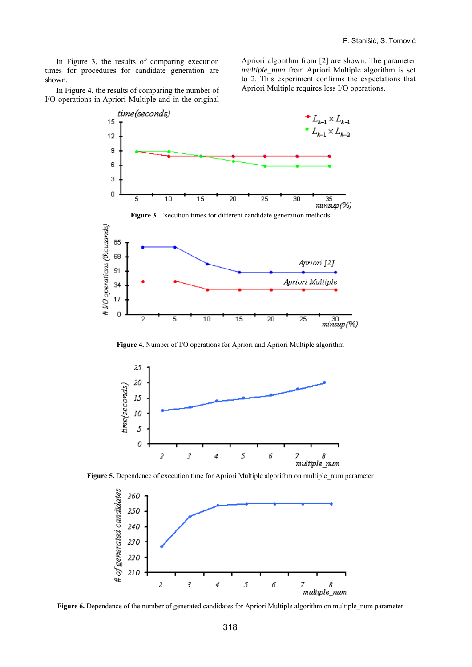In Figure 3, the results of comparing execution times for procedures for candidate generation are shown.

Apriori algorithm from [2] are shown. The parameter *multiple\_num* from Apriori Multiple algorithm is set to 2. This experiment confirms the expectations that Apriori Multiple requires less I/O operations.

In Figure 4, the results of comparing the number of I/O operations in Apriori Multiple and in the original







**Figure 4.** Number of I/O operations for Apriori and Apriori Multiple algorithm



**Figure 5.** Dependence of execution time for Apriori Multiple algorithm on multiple num parameter



**Figure 6.** Dependence of the number of generated candidates for Apriori Multiple algorithm on multiple\_num parameter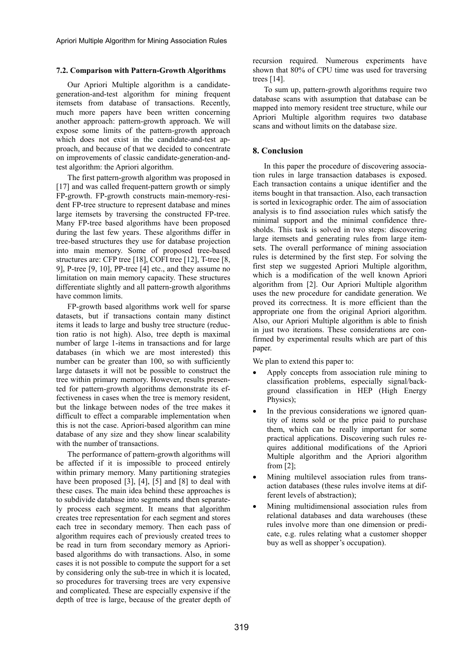## **7.2. Comparison with Pattern-Growth Algorithms**

Our Apriori Multiple algorithm is a candidategeneration-and-test algorithm for mining frequent itemsets from database of transactions. Recently, much more papers have been written concerning another approach: pattern-growth approach. We will expose some limits of the pattern-growth approach which does not exist in the candidate-and-test approach, and because of that we decided to concentrate on improvements of classic candidate-generation-andtest algorithm: the Apriori algorithm.

The first pattern-growth algorithm was proposed in [17] and was called frequent-pattern growth or simply FP-growth. FP-growth constructs main-memory-resident FP-tree structure to represent database and mines large itemsets by traversing the constructed FP-tree. Many FP-tree based algorithms have been proposed during the last few years. These algorithms differ in tree-based structures they use for database projection into main memory. Some of proposed tree-based structures are: CFP tree [18], COFI tree [12], T-tree [8, 9], P-tree [9, 10], PP-tree [4] etc., and they assume no limitation on main memory capacity. These structures differentiate slightly and all pattern-growth algorithms have common limits.

FP-growth based algorithms work well for sparse datasets, but if transactions contain many distinct items it leads to large and bushy tree structure (reduction ratio is not high). Also, tree depth is maximal number of large 1-items in transactions and for large databases (in which we are most interested) this number can be greater than 100, so with sufficiently large datasets it will not be possible to construct the tree within primary memory. However, results presented for pattern-growth algorithms demonstrate its effectiveness in cases when the tree is memory resident, but the linkage between nodes of the tree makes it difficult to effect a comparable implementation when this is not the case. Apriori-based algorithm can mine database of any size and they show linear scalability with the number of transactions.

The performance of pattern-growth algorithms will be affected if it is impossible to proceed entirely within primary memory. Many partitioning strategies have been proposed [3], [4], [5] and [8] to deal with these cases. The main idea behind these approaches is to subdivide database into segments and then separately process each segment. It means that algorithm creates tree representation for each segment and stores each tree in secondary memory. Then each pass of algorithm requires each of previously created trees to be read in turn from secondary memory as Aprioribased algorithms do with transactions. Also, in some cases it is not possible to compute the support for a set by considering only the sub-tree in which it is located, so procedures for traversing trees are very expensive and complicated. These are especially expensive if the depth of tree is large, because of the greater depth of recursion required. Numerous experiments have shown that 80% of CPU time was used for traversing trees [14].

To sum up, pattern-growth algorithms require two database scans with assumption that database can be mapped into memory resident tree structure, while our Apriori Multiple algorithm requires two database scans and without limits on the database size.

# **8. Conclusion**

In this paper the procedure of discovering association rules in large transaction databases is exposed. Each transaction contains a unique identifier and the items bought in that transaction. Also, each transaction is sorted in lexicographic order. The aim of association analysis is to find association rules which satisfy the minimal support and the minimal confidence thresholds. This task is solved in two steps: discovering large itemsets and generating rules from large itemsets. The overall performance of mining association rules is determined by the first step. For solving the first step we suggested Apriori Multiple algorithm, which is a modification of the well known Apriori algorithm from [2]. Our Apriori Multiple algorithm uses the new procedure for candidate generation. We proved its correctness. It is more efficient than the appropriate one from the original Apriori algorithm. Also, our Apriori Multiple algorithm is able to finish in just two iterations. These considerations are confirmed by experimental results which are part of this paper.

We plan to extend this paper to:

- Apply concepts from association rule mining to classification problems, especially signal/background classification in HEP (High Energy Physics);
- In the previous considerations we ignored quantity of items sold or the price paid to purchase them, which can be really important for some practical applications. Discovering such rules requires additional modifications of the Apriori Multiple algorithm and the Apriori algorithm from [2];
- Mining multilevel association rules from transaction databases (these rules involve items at different levels of abstraction);
- Mining multidimensional association rules from relational databases and data warehouses (these rules involve more than one dimension or predicate, e.g. rules relating what a customer shopper buy as well as shopper's occupation).